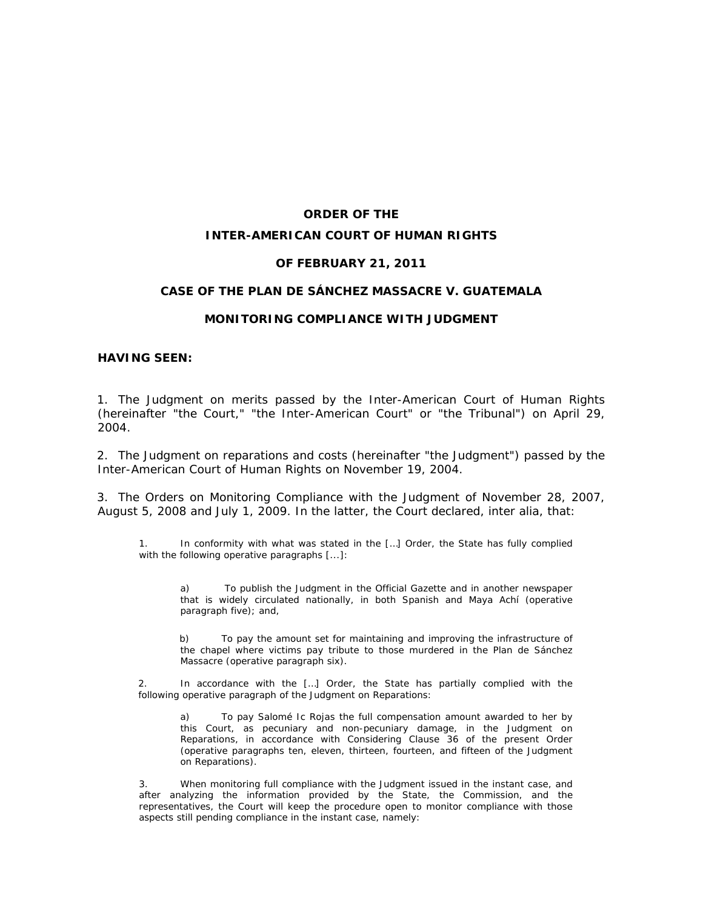# **ORDER OF THE INTER-AMERICAN COURT OF HUMAN RIGHTS**

#### **OF FEBRUARY 21, 2011**

#### **CASE OF THE PLAN DE SÁNCHEZ MASSACRE** *V***. GUATEMALA**

#### **MONITORING COMPLIANCE WITH JUDGMENT**

#### **HAVING SEEN:**

1. The Judgment on merits passed by the Inter-American Court of Human Rights (hereinafter "the Court," "the Inter-American Court" or "the Tribunal") on April 29, 2004.

2. The Judgment on reparations and costs (hereinafter "the Judgment") passed by the Inter-American Court of Human Rights on November 19, 2004.

3. The Orders on Monitoring Compliance with the Judgment of November 28, 2007, August 5, 2008 and July 1, 2009. In the latter, the Court declared, *inter alia*, that:

1. In conformity with what was stated in the […] Order, the State has fully complied with the following operative paragraphs [...]:

a) To publish the Judgment in the Official Gazette and in another newspaper that is widely circulated nationally, in both Spanish and Maya Achí (*operative paragraph five);* and,

b) To pay the amount set for maintaining and improving the infrastructure of the chapel where victims pay tribute to those murdered in the Plan de Sánchez Massacre (*operative paragraph six).*

2. In accordance with the […] Order, the State has partially complied with the following operative paragraph of the Judgment on Reparations:

a) To pay Salomé Ic Rojas the full compensation amount awarded to her by this Court, as pecuniary and non-pecuniary damage, in the Judgment on Reparations, in accordance with Considering Clause 36 of the present Order (*operative paragraphs ten, eleven, thirteen, fourteen, and fifteen of the Judgment on Reparations).* 

3. When monitoring full compliance with the Judgment issued in the instant case, and after analyzing the information provided by the State, the Commission, and the representatives, the Court will keep the procedure open to monitor compliance with those aspects still pending compliance in the instant case, namely: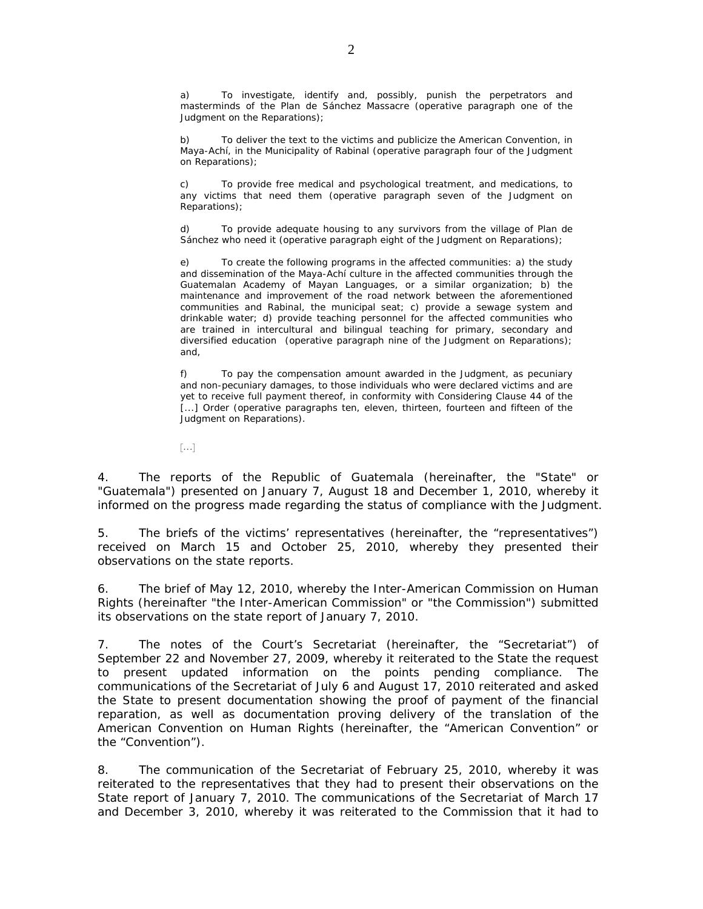a) To investigate, identify and, possibly, punish the perpetrators and masterminds of the Plan de Sánchez Massacre *(operative paragraph one of the Judgment on the Reparations)*;

b) To deliver the text to the victims and publicize the American Convention, in Maya-Achí, in the Municipality of Rabinal (*operative paragraph four of the Judgment on Reparations);*

c) To provide free medical and psychological treatment, and medications, to any victims that need them (*operative paragraph seven of the Judgment on Reparations*);

d) To provide adequate housing to any survivors from the village of Plan de Sánchez who need it (*operative paragraph eight of the Judgment on Reparations*);

e) To create the following programs in the affected communities: a) the study and dissemination of the Maya-Achí culture in the affected communities through the Guatemalan Academy of Mayan Languages, or a similar organization; b) the maintenance and improvement of the road network between the aforementioned communities and Rabinal, the municipal seat; c) provide a sewage system and drinkable water; d) provide teaching personnel for the affected communities who are trained in intercultural and bilingual teaching for primary, secondary and diversified education (*operative paragraph nine of the Judgment on Reparations)*; and,

f) To pay the compensation amount awarded in the Judgment, as pecuniary and non-pecuniary damages, to those individuals who were declared victims and are yet to receive full payment thereof, in conformity with Considering Clause 44 of the [...] Order (*operative paragraphs ten, eleven, thirteen, fourteen and fifteen of the Judgment on Reparations).*

 $\lceil$ ...]

4. The reports of the Republic of Guatemala (hereinafter, the "State" or "Guatemala") presented on January 7, August 18 and December 1, 2010, whereby it informed on the progress made regarding the status of compliance with the Judgment.

5. The briefs of the victims' representatives (hereinafter, the "representatives") received on March 15 and October 25, 2010, whereby they presented their observations on the state reports.

6. The brief of May 12, 2010, whereby the Inter-American Commission on Human Rights (hereinafter "the Inter-American Commission" or "the Commission") submitted its observations on the state report of January 7, 2010.

7. The notes of the Court's Secretariat (hereinafter, the "Secretariat") of September 22 and November 27, 2009, whereby it reiterated to the State the request to present updated information on the points pending compliance. The communications of the Secretariat of July 6 and August 17, 2010 reiterated and asked the State to present documentation showing the proof of payment of the financial reparation, as well as documentation proving delivery of the translation of the American Convention on Human Rights (hereinafter, the "American Convention" or the "Convention").

8. The communication of the Secretariat of February 25, 2010, whereby it was reiterated to the representatives that they had to present their observations on the State report of January 7, 2010. The communications of the Secretariat of March 17 and December 3, 2010, whereby it was reiterated to the Commission that it had to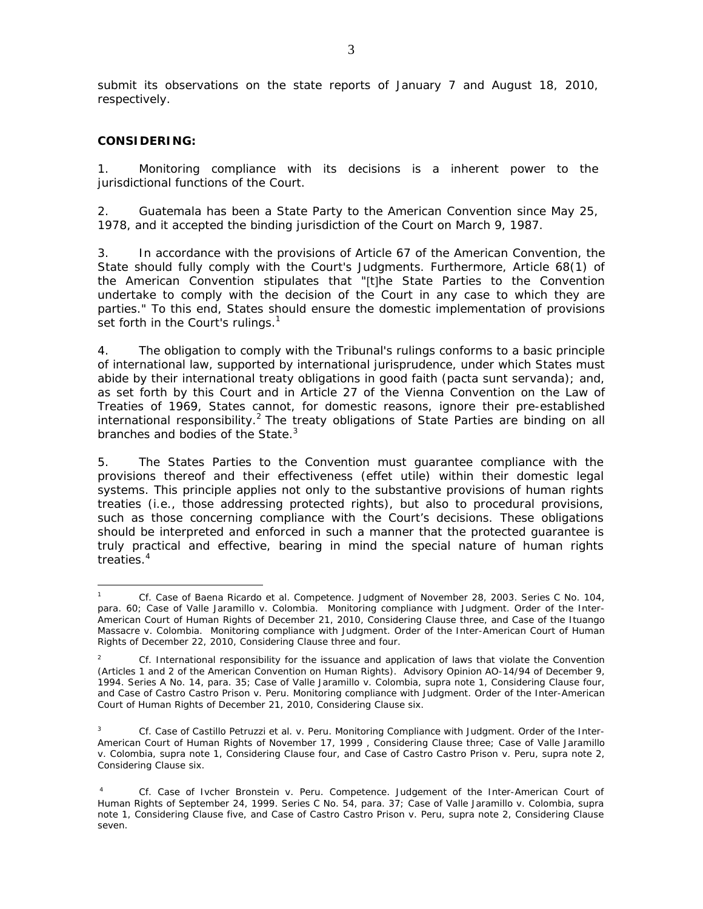submit its observations on the state reports of January 7 and August 18, 2010, respectively.

#### **CONSIDERING:**

<u>.</u>

1. Monitoring compliance with its decisions is a inherent power to the jurisdictional functions of the Court.

2. Guatemala has been a State Party to the American Convention since May 25, 1978, and it accepted the binding jurisdiction of the Court on March 9, 1987.

3. In accordance with the provisions of Article 67 of the American Convention, the State should fully comply with the Court's Judgments. Furthermore, Article 68(1) of the American Convention stipulates that "[t]he State Parties to the Convention undertake to comply with the decision of the Court in any case to which they are parties." To this end, States should ensure the domestic implementation of provisions set forth in the Court's rulings.<sup>1</sup>

4. The obligation to comply with the Tribunal's rulings conforms to a basic principle of international law, supported by international jurisprudence, under which States must abide by their international treaty obligations in good faith (*pacta sunt servanda*); and, as set forth by this Court and in Article 27 of the Vienna Convention on the Law of Treaties of 1969, States cannot, for domestic reasons, ignore their pre-established international responsibility.<sup>2</sup> The treaty obligations of State Parties are binding on all branches and bodies of the State.<sup>3</sup>

5. The States Parties to the Convention must guarantee compliance with the provisions thereof and their effectiveness (effet utile) within their domestic legal systems. This principle applies not only to the substantive provisions of human rights treaties (i.e., those addressing protected rights), but also to procedural provisions, such as those concerning compliance with the Court's decisions. These obligations should be interpreted and enforced in such a manner that the protected guarantee is truly practical and effective, bearing in mind the special nature of human rights treaties.<sup>4</sup>

<sup>1</sup> *Cf*. *Case of Baena Ricardo et al. Competence.* Judgment of November 28, 2003. Series C No. 104, para. 60; *Case of Valle Jaramillo v. Colombia. Monitoring compliance with Judgment.* Order of the Inter-American Court of Human Rights of December 21, 2010, Considering Clause three, and *Case of the Ituango Massacre v. Colombia. Monitoring compliance with Judgment.* Order of the Inter-American Court of Human Rights of December 22, 2010, Considering Clause three and four.

<sup>2</sup> *Cf. International responsibility for the issuance and application of laws that violate the Convention*  (Articles 1 and 2 of the American Convention on Human Rights). Advisory Opinion AO-14/94 of December 9, 1994. Series A No. 14, para. 35; *Case of Valle Jaramillo v. Colombia, supra note 1, Considering Clause four, and Case of Castro Castro Prison v. Peru. Monitoring compliance with Judgment.* Order of the Inter-American Court of Human Rights of December 21, 2010, Considering Clause six.

<sup>3</sup> *Cf*. Case of Castillo Petruzzi et al. v. Peru. Monitoring Compliance with Judgment. Order of the Inter-American Court of Human Rights of November 17, 1999 , Considering Clause three; Case of Valle Jaramillo v. Colombia, supra note 1, Considering Clause four, and Case of Castro Castro Prison v. Peru, supra note 2, Considering Clause six.

<sup>4</sup> *Cf*. Case of Ivcher Bronstein v. Peru. Competence. Judgement of the Inter-American Court of Human Rights of September 24, 1999. Series C No. 54, para. 37; Case of Valle Jaramillo v. Colombia, supra note 1, Considering Clause five, and Case of Castro Castro Prison v. Peru, supra note 2, Considering Clause seven.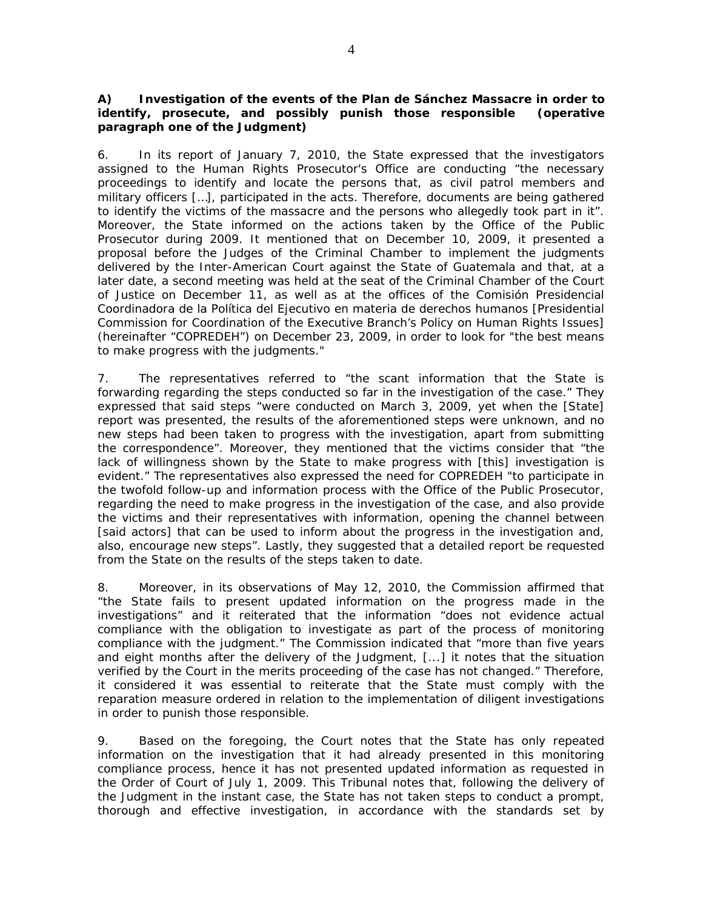### *A) Investigation of the events of the Plan de Sánchez Massacre in order to identify, prosecute, and possibly punish those responsible (operative paragraph one of the Judgment)*

6. In its report of January 7, 2010, the State expressed that the investigators assigned to the Human Rights Prosecutor's Office are conducting "the necessary proceedings to identify and locate the persons that, as civil patrol members and military officers […], participated in the acts. Therefore, documents are being gathered to identify the victims of the massacre and the persons who allegedly took part in it". Moreover, the State informed on the actions taken by the Office of the Public Prosecutor during 2009. It mentioned that on December 10, 2009, it presented a proposal before the Judges of the Criminal Chamber to implement the judgments delivered by the Inter-American Court against the State of Guatemala and that, at a later date, a second meeting was held at the seat of the Criminal Chamber of the Court of Justice on December 11, as well as at the offices of the Comisión Presidencial Coordinadora de la Política del Ejecutivo en materia de derechos humanos [Presidential Commission for Coordination of the Executive Branch's Policy on Human Rights Issues] (hereinafter "COPREDEH") on December 23, 2009, in order to look for "the best means to make progress with the judgments."

7. The representatives referred to "the scant information that the State is forwarding regarding the steps conducted so far in the investigation of the case." They expressed that said steps "were conducted on March 3, 2009, yet when the [State] report was presented, the results of the aforementioned steps were unknown, and no new steps had been taken to progress with the investigation, apart from submitting the correspondence". Moreover, they mentioned that the victims consider that "the lack of willingness shown by the State to make progress with [this] investigation is evident." The representatives also expressed the need for COPREDEH "to participate in the twofold follow-up and information process with the Office of the Public Prosecutor, regarding the need to make progress in the investigation of the case, and also provide the victims and their representatives with information, opening the channel between [said actors] that can be used to inform about the progress in the investigation and, also, encourage new steps". Lastly, they suggested that a detailed report be requested from the State on the results of the steps taken to date.

8. Moreover, in its observations of May 12, 2010, the Commission affirmed that "the State fails to present updated information on the progress made in the investigations" and it reiterated that the information "does not evidence actual compliance with the obligation to investigate as part of the process of monitoring compliance with the judgment." The Commission indicated that "more than five years and eight months after the delivery of the Judgment, [...] it notes that the situation verified by the Court in the merits proceeding of the case has not changed." Therefore, it considered it was essential to reiterate that the State must comply with the reparation measure ordered in relation to the implementation of diligent investigations in order to punish those responsible.

9. Based on the foregoing, the Court notes that the State has only repeated information on the investigation that it had already presented in this monitoring compliance process, hence it has not presented updated information as requested in the Order of Court of July 1, 2009. This Tribunal notes that, following the delivery of the Judgment in the instant case, the State has not taken steps to conduct a prompt, thorough and effective investigation, in accordance with the standards set by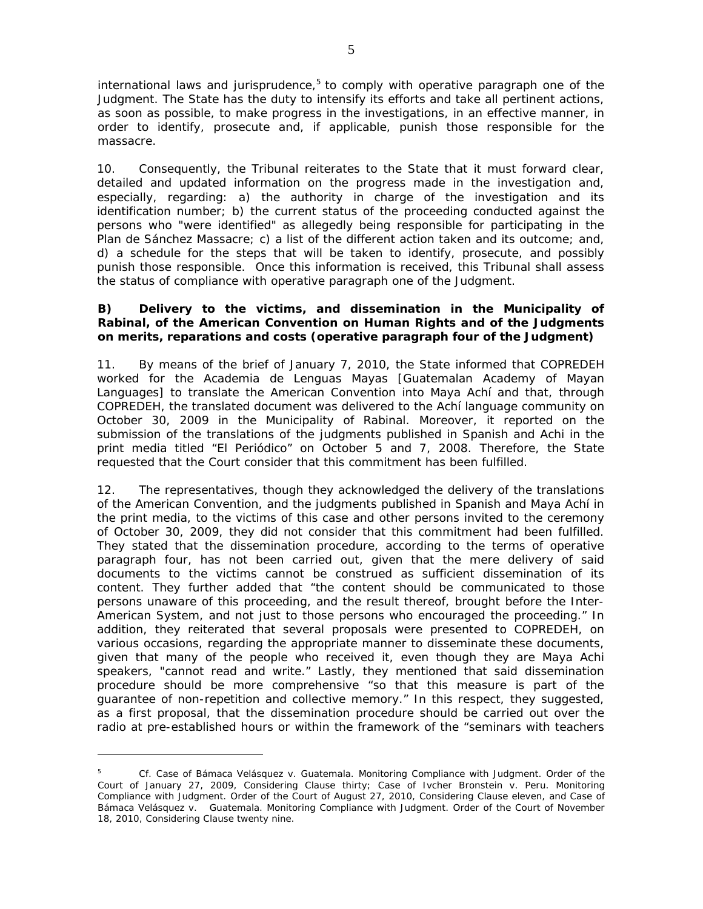international laws and jurisprudence, $5$  to comply with operative paragraph one of the Judgment. The State has the duty to intensify its efforts and take all pertinent actions, as soon as possible, to make progress in the investigations, in an effective manner, in order to identify, prosecute and, if applicable, punish those responsible for the massacre.

10. Consequently, the Tribunal reiterates to the State that it must forward clear, detailed and updated information on the progress made in the investigation and, especially, regarding: a) the authority in charge of the investigation and its identification number; b) the current status of the proceeding conducted against the persons who "were identified" as allegedly being responsible for participating in the Plan de Sánchez Massacre; c) a list of the different action taken and its outcome; and, d) a schedule for the steps that will be taken to identify, prosecute, and possibly punish those responsible. Once this information is received, this Tribunal shall assess the status of compliance with operative paragraph one of the Judgment.

### *B) Delivery to the victims, and dissemination in the Municipality of Rabinal, of the American Convention on Human Rights and of the Judgments on merits, reparations and costs (operative paragraph four of the Judgment)*

11. By means of the brief of January 7, 2010, the State informed that COPREDEH worked for the Academia de Lenguas Mayas [Guatemalan Academy of Mayan Languages] to translate the American Convention into Maya Achí and that, through COPREDEH, the translated document was delivered to the Achí language community on October 30, 2009 in the Municipality of Rabinal. Moreover, it reported on the submission of the translations of the judgments published in Spanish and Achi in the print media titled "El Periódico" on October 5 and 7, 2008. Therefore, the State requested that the Court consider that this commitment has been fulfilled.

12. The representatives, though they acknowledged the delivery of the translations of the American Convention, and the judgments published in Spanish and Maya Achí in the print media, to the victims of this case and other persons invited to the ceremony of October 30, 2009, they did not consider that this commitment had been fulfilled. They stated that the dissemination procedure, according to the terms of operative paragraph four, has not been carried out, given that the mere delivery of said documents to the victims cannot be construed as sufficient dissemination of its content. They further added that "the content should be communicated to those persons unaware of this proceeding, and the result thereof, brought before the Inter-American System, and not just to those persons who encouraged the proceeding." In addition, they reiterated that several proposals were presented to COPREDEH, on various occasions, regarding the appropriate manner to disseminate these documents, given that many of the people who received it, even though they are Maya Achi speakers, "cannot read and write." Lastly, they mentioned that said dissemination procedure should be more comprehensive "so that this measure is part of the guarantee of non-repetition and collective memory." In this respect, they suggested, as a first proposal, that the dissemination procedure should be carried out over the radio at pre-established hours or within the framework of the "seminars with teachers

1

<sup>5</sup> Cf. Case of Bámaca Velásquez v. Guatemala. Monitoring Compliance with Judgment. Order of the Court of January 27, 2009, Considering Clause thirty; *Case of Ivcher Bronstein v. Peru. Monitoring Compliance with Judgment*. Order of the Court of August 27, 2010, Considering Clause eleven, and *Case of Bámaca Velásquez v. Guatemala. Monitoring Compliance with Judgment.* Order of the Court of November 18, 2010, Considering Clause twenty nine.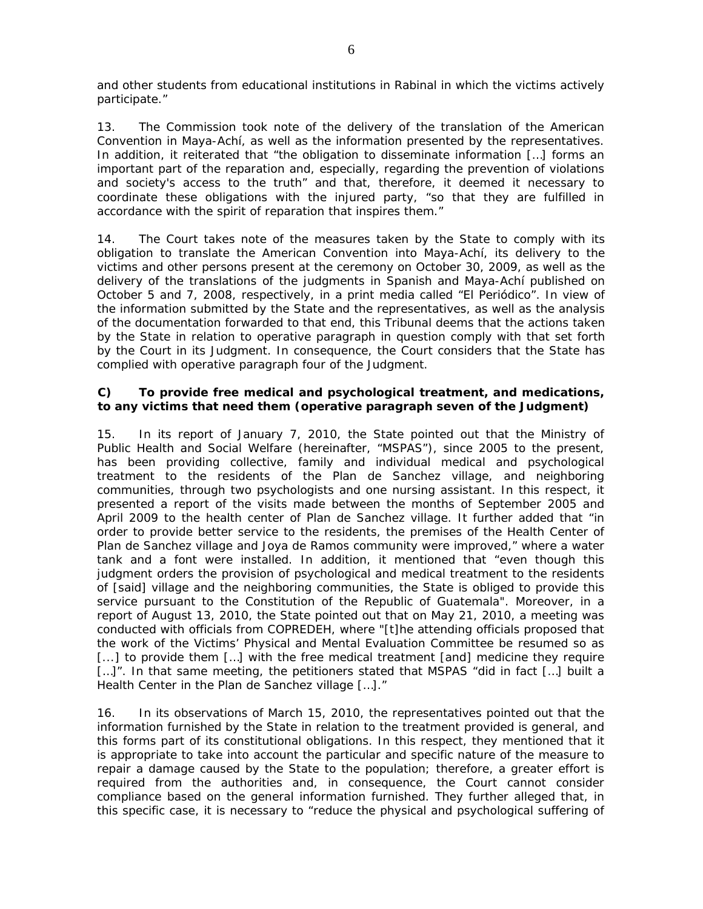and other students from educational institutions in Rabinal in which the victims actively participate."

13. The Commission took note of the delivery of the translation of the American Convention in Maya-Achí, as well as the information presented by the representatives. In addition, it reiterated that "the obligation to disseminate information [...] forms an important part of the reparation and, especially, regarding the prevention of violations and society's access to the truth" and that, therefore, it deemed it necessary to coordinate these obligations with the injured party, "so that they are fulfilled in accordance with the spirit of reparation that inspires them."

14. The Court takes note of the measures taken by the State to comply with its obligation to translate the American Convention into Maya-Achí, its delivery to the victims and other persons present at the ceremony on October 30, 2009, as well as the delivery of the translations of the judgments in Spanish and Maya-Achí published on October 5 and 7, 2008, respectively, in a print media called "El Periódico". In view of the information submitted by the State and the representatives, as well as the analysis of the documentation forwarded to that end, this Tribunal deems that the actions taken by the State in relation to operative paragraph in question comply with that set forth by the Court in its Judgment. In consequence, the Court considers that the State has complied with operative paragraph four of the Judgment.

### *C) To provide free medical and psychological treatment, and medications, to any victims that need them (operative paragraph seven of the Judgment)*

15. In its report of January 7, 2010, the State pointed out that the Ministry of Public Health and Social Welfare (hereinafter, "MSPAS"), since 2005 to the present, has been providing collective, family and individual medical and psychological treatment to the residents of the Plan de Sanchez village, and neighboring communities, through two psychologists and one nursing assistant. In this respect, it presented a report of the visits made between the months of September 2005 and April 2009 to the health center of Plan de Sanchez village. It further added that "in order to provide better service to the residents, the premises of the Health Center of Plan de Sanchez village and Joya de Ramos community were improved," where a water tank and a font were installed. In addition, it mentioned that "even though this judgment orders the provision of psychological and medical treatment to the residents of [said] village and the neighboring communities, the State is obliged to provide this service pursuant to the Constitution of the Republic of Guatemala". Moreover, in a report of August 13, 2010, the State pointed out that on May 21, 2010, a meeting was conducted with officials from COPREDEH, where "[t]he attending officials proposed that the work of the Victims' Physical and Mental Evaluation Committee be resumed so as [...] to provide them [...] with the free medical treatment [and] medicine they require [...]". In that same meeting, the petitioners stated that MSPAS "did in fact [...] built a Health Center in the Plan de Sanchez village […]."

16. In its observations of March 15, 2010, the representatives pointed out that the information furnished by the State in relation to the treatment provided is general, and this forms part of its constitutional obligations. In this respect, they mentioned that it is appropriate to take into account the particular and specific nature of the measure to repair a damage caused by the State to the population; therefore, a greater effort is required from the authorities and, in consequence, the Court cannot consider compliance based on the general information furnished. They further alleged that, in this specific case, it is necessary to "reduce the physical and psychological suffering of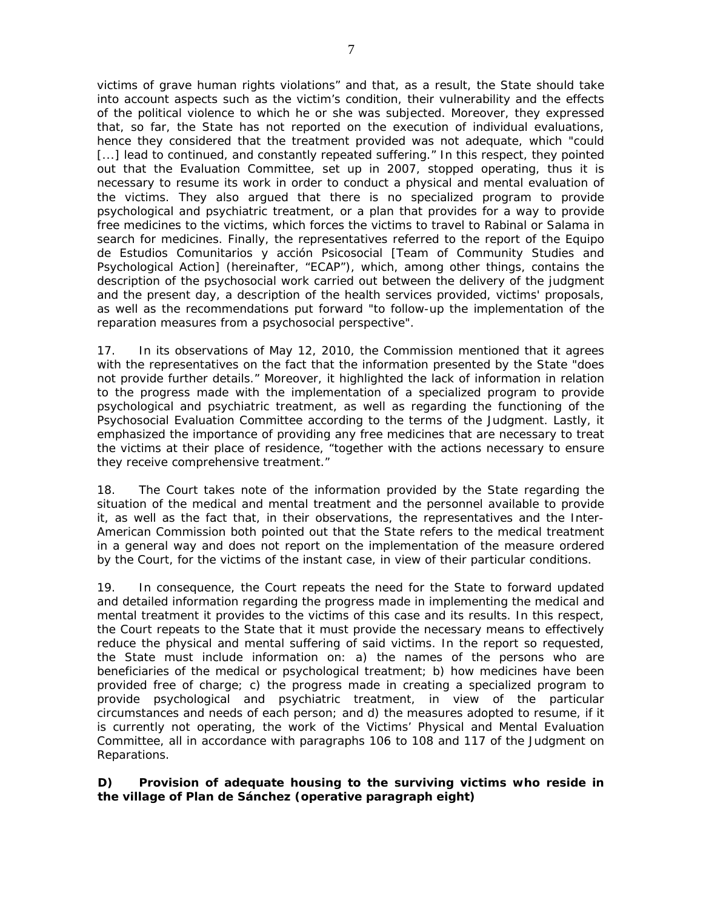victims of grave human rights violations" and that, as a result, the State should take into account aspects such as the victim's condition, their vulnerability and the effects of the political violence to which he or she was subjected. Moreover, they expressed that, so far, the State has not reported on the execution of individual evaluations, hence they considered that the treatment provided was not adequate, which "could [...] lead to continued, and constantly repeated suffering." In this respect, they pointed out that the Evaluation Committee, set up in 2007, stopped operating, thus it is necessary to resume its work in order to conduct a physical and mental evaluation of the victims. They also argued that there is no specialized program to provide psychological and psychiatric treatment, or a plan that provides for a way to provide free medicines to the victims, which forces the victims to travel to Rabinal or Salama in search for medicines. Finally, the representatives referred to the report of the Equipo de Estudios Comunitarios y acción Psicosocial [Team of Community Studies and Psychological Action] (hereinafter, "ECAP"), which, among other things, contains the description of the psychosocial work carried out between the delivery of the judgment and the present day, a description of the health services provided, victims' proposals, as well as the recommendations put forward "to follow-up the implementation of the reparation measures from a psychosocial perspective".

17. In its observations of May 12, 2010, the Commission mentioned that it agrees with the representatives on the fact that the information presented by the State "does not provide further details." Moreover, it highlighted the lack of information in relation to the progress made with the implementation of a specialized program to provide psychological and psychiatric treatment, as well as regarding the functioning of the Psychosocial Evaluation Committee according to the terms of the Judgment. Lastly, it emphasized the importance of providing any free medicines that are necessary to treat the victims at their place of residence, "together with the actions necessary to ensure they receive comprehensive treatment."

18. The Court takes note of the information provided by the State regarding the situation of the medical and mental treatment and the personnel available to provide it, as well as the fact that, in their observations, the representatives and the Inter-American Commission both pointed out that the State refers to the medical treatment in a general way and does not report on the implementation of the measure ordered by the Court, for the victims of the instant case, in view of their particular conditions.

19. In consequence, the Court repeats the need for the State to forward updated and detailed information regarding the progress made in implementing the medical and mental treatment it provides to the victims of this case and its results. In this respect, the Court repeats to the State that it must provide the necessary means to effectively reduce the physical and mental suffering of said victims. In the report so requested, the State must include information on: a) the names of the persons who are beneficiaries of the medical or psychological treatment; b) how medicines have been provided free of charge; c) the progress made in creating a specialized program to provide psychological and psychiatric treatment, in view of the particular circumstances and needs of each person; and d) the measures adopted to resume, if it is currently not operating, the work of the Victims' Physical and Mental Evaluation Committee, all in accordance with paragraphs 106 to 108 and 117 of the Judgment on Reparations.

*D) Provision of adequate housing to the surviving victims who reside in the village of Plan de Sánchez (operative paragraph eight)*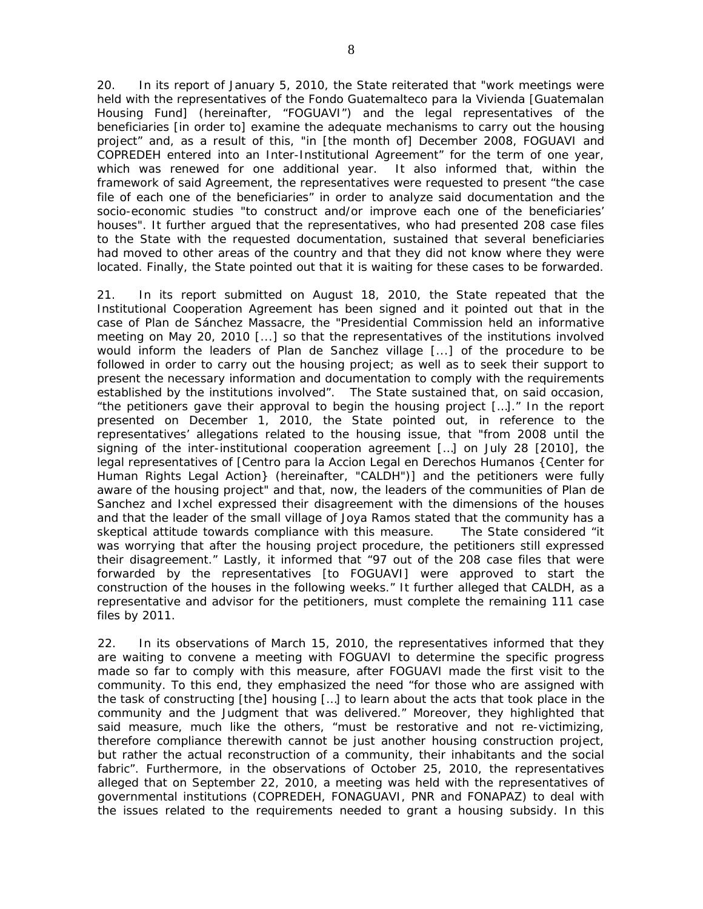20. In its report of January 5, 2010, the State reiterated that "work meetings were held with the representatives of the Fondo Guatemalteco para la Vivienda [Guatemalan Housing Fund] (hereinafter, "FOGUAVI") and the legal representatives of the beneficiaries [in order to] examine the adequate mechanisms to carry out the housing project" and, as a result of this, "in [the month of] December 2008, FOGUAVI and COPREDEH entered into an Inter-Institutional Agreement" for the term of one year, which was renewed for one additional year. It also informed that, within the framework of said Agreement, the representatives were requested to present "the case file of each one of the beneficiaries" in order to analyze said documentation and the socio-economic studies "to construct and/or improve each one of the beneficiaries' houses". It further argued that the representatives, who had presented 208 case files to the State with the requested documentation, sustained that several beneficiaries had moved to other areas of the country and that they did not know where they were located. Finally, the State pointed out that it is waiting for these cases to be forwarded.

21. In its report submitted on August 18, 2010, the State repeated that the Institutional Cooperation Agreement has been signed and it pointed out that in the case of Plan de Sánchez Massacre, the "Presidential Commission held an informative meeting on May 20, 2010 [...] so that the representatives of the institutions involved would inform the leaders of Plan de Sanchez village [...] of the procedure to be followed in order to carry out the housing project; as well as to seek their support to present the necessary information and documentation to comply with the requirements established by the institutions involved". The State sustained that, on said occasion, "the petitioners gave their approval to begin the housing project […]." In the report presented on December 1, 2010, the State pointed out, in reference to the representatives' allegations related to the housing issue, that "from 2008 until the signing of the inter-institutional cooperation agreement […] on July 28 [2010], the legal representatives of [Centro para la Accion Legal en Derechos Humanos {Center for Human Rights Legal Action} (hereinafter, "CALDH")] and the petitioners were fully aware of the housing project" and that, now, the leaders of the communities of Plan de Sanchez and Ixchel expressed their disagreement with the dimensions of the houses and that the leader of the small village of Joya Ramos stated that the community has a skeptical attitude towards compliance with this measure. The State considered "it was worrying that after the housing project procedure, the petitioners still expressed their disagreement." Lastly, it informed that "97 out of the 208 case files that were forwarded by the representatives [to FOGUAVI] were approved to start the construction of the houses in the following weeks." It further alleged that CALDH, as a representative and advisor for the petitioners, must complete the remaining 111 case files by 2011.

22. In its observations of March 15, 2010, the representatives informed that they are waiting to convene a meeting with FOGUAVI to determine the specific progress made so far to comply with this measure, after FOGUAVI made the first visit to the community. To this end, they emphasized the need "for those who are assigned with the task of constructing [the] housing […] to learn about the acts that took place in the community and the Judgment that was delivered." Moreover, they highlighted that said measure, much like the others, "must be restorative and not re-victimizing, therefore compliance therewith cannot be just another housing construction project, but rather the actual reconstruction of a community, their inhabitants and the social fabric". Furthermore, in the observations of October 25, 2010, the representatives alleged that on September 22, 2010, a meeting was held with the representatives of governmental institutions (COPREDEH, FONAGUAVI, PNR and FONAPAZ) to deal with the issues related to the requirements needed to grant a housing subsidy. In this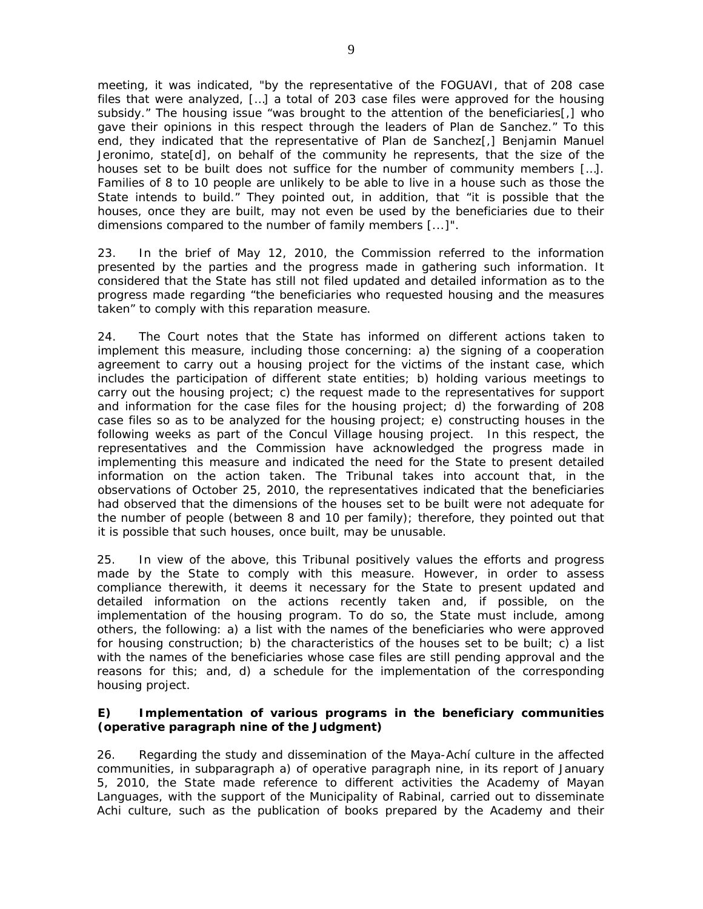meeting, it was indicated, "by the representative of the FOGUAVI, that of 208 case files that were analyzed, […] a total of 203 case files were approved for the housing subsidy." The housing issue "was brought to the attention of the beneficiaries[,] who gave their opinions in this respect through the leaders of Plan de Sanchez." To this end, they indicated that the representative of Plan de Sanchez[,] Benjamin Manuel Jeronimo, state[d], on behalf of the community he represents, that the size of the houses set to be built does not suffice for the number of community members […]. Families of 8 to 10 people are unlikely to be able to live in a house such as those the State intends to build." They pointed out, in addition, that "it is possible that the houses, once they are built, may not even be used by the beneficiaries due to their dimensions compared to the number of family members [...]".

23. In the brief of May 12, 2010, the Commission referred to the information presented by the parties and the progress made in gathering such information. It considered that the State has still not filed updated and detailed information as to the progress made regarding "the beneficiaries who requested housing and the measures taken" to comply with this reparation measure.

24. The Court notes that the State has informed on different actions taken to implement this measure, including those concerning: a) the signing of a cooperation agreement to carry out a housing project for the victims of the instant case, which includes the participation of different state entities; b) holding various meetings to carry out the housing project; c) the request made to the representatives for support and information for the case files for the housing project; d) the forwarding of 208 case files so as to be analyzed for the housing project; e) constructing houses in the following weeks as part of the Concul Village housing project. In this respect, the representatives and the Commission have acknowledged the progress made in implementing this measure and indicated the need for the State to present detailed information on the action taken. The Tribunal takes into account that, in the observations of October 25, 2010, the representatives indicated that the beneficiaries had observed that the dimensions of the houses set to be built were not adequate for the number of people (between 8 and 10 per family); therefore, they pointed out that it is possible that such houses, once built, may be unusable.

25. In view of the above, this Tribunal positively values the efforts and progress made by the State to comply with this measure. However, in order to assess compliance therewith, it deems it necessary for the State to present updated and detailed information on the actions recently taken and, if possible, on the implementation of the housing program. To do so, the State must include, among others, the following: a) a list with the names of the beneficiaries who were approved for housing construction; b) the characteristics of the houses set to be built; c) a list with the names of the beneficiaries whose case files are still pending approval and the reasons for this; and, d) a schedule for the implementation of the corresponding housing project.

# *E) Implementation of various programs in the beneficiary communities (operative paragraph nine of the Judgment)*

26. Regarding the study and dissemination of the Maya-Achí culture in the affected communities, in subparagraph a) of operative paragraph nine, in its report of January 5, 2010, the State made reference to different activities the Academy of Mayan Languages, with the support of the Municipality of Rabinal, carried out to disseminate Achi culture, such as the publication of books prepared by the Academy and their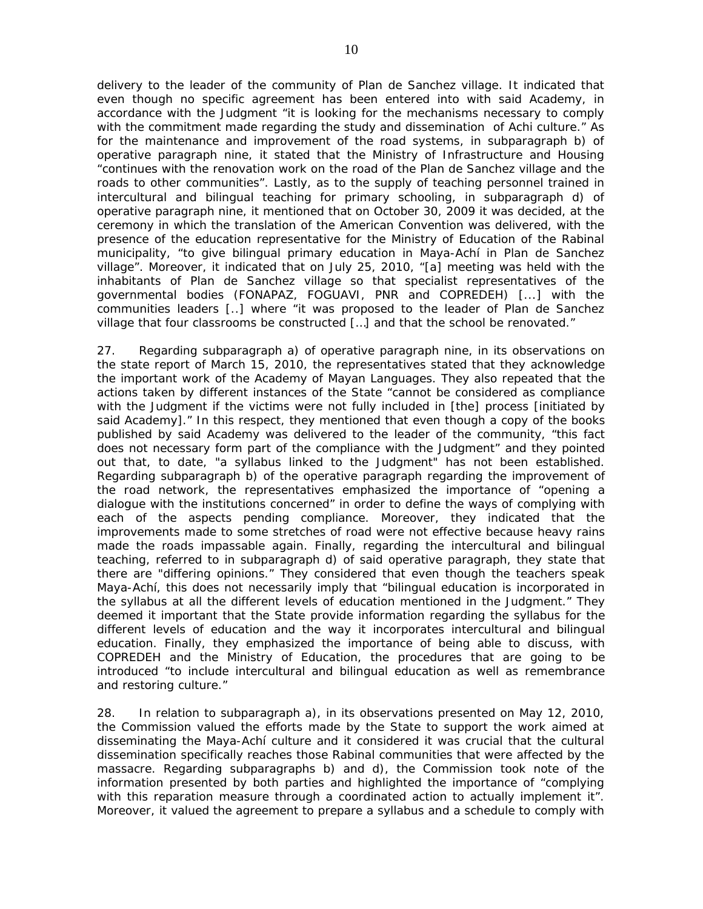delivery to the leader of the community of Plan de Sanchez village. It indicated that even though no specific agreement has been entered into with said Academy, in accordance with the Judgment "it is looking for the mechanisms necessary to comply with the commitment made regarding the study and dissemination of Achi culture." As for the maintenance and improvement of the road systems, in subparagraph b) of operative paragraph nine, it stated that the Ministry of Infrastructure and Housing "continues with the renovation work on the road of the Plan de Sanchez village and the roads to other communities". Lastly, as to the supply of teaching personnel trained in intercultural and bilingual teaching for primary schooling, in subparagraph d) of operative paragraph nine, it mentioned that on October 30, 2009 it was decided, at the ceremony in which the translation of the American Convention was delivered, with the presence of the education representative for the Ministry of Education of the Rabinal municipality, "to give bilingual primary education in Maya-Achí in Plan de Sanchez village". Moreover, it indicated that on July 25, 2010, "[a] meeting was held with the inhabitants of Plan de Sanchez village so that specialist representatives of the governmental bodies (FONAPAZ, FOGUAVI, PNR and COPREDEH) [...] with the communities leaders [..] where "it was proposed to the leader of Plan de Sanchez village that four classrooms be constructed [...] and that the school be renovated."

27. Regarding subparagraph a) of operative paragraph nine, in its observations on the state report of March 15, 2010, the representatives stated that they acknowledge the important work of the Academy of Mayan Languages. They also repeated that the actions taken by different instances of the State "cannot be considered as compliance with the Judgment if the victims were not fully included in [the] process [initiated by said Academy]." In this respect, they mentioned that even though a copy of the books published by said Academy was delivered to the leader of the community, "this fact does not necessary form part of the compliance with the Judgment" and they pointed out that, to date, "a syllabus linked to the Judgment" has not been established. Regarding subparagraph b) of the operative paragraph regarding the improvement of the road network, the representatives emphasized the importance of "opening a dialogue with the institutions concerned" in order to define the ways of complying with each of the aspects pending compliance. Moreover, they indicated that the improvements made to some stretches of road were not effective because heavy rains made the roads impassable again. Finally, regarding the intercultural and bilingual teaching, referred to in subparagraph d) of said operative paragraph, they state that there are "differing opinions." They considered that even though the teachers speak Maya-Achí, this does not necessarily imply that "bilingual education is incorporated in the syllabus at all the different levels of education mentioned in the Judgment." They deemed it important that the State provide information regarding the syllabus for the different levels of education and the way it incorporates intercultural and bilingual education. Finally, they emphasized the importance of being able to discuss, with COPREDEH and the Ministry of Education, the procedures that are going to be introduced "to include intercultural and bilingual education as well as remembrance and restoring culture."

28. In relation to subparagraph a), in its observations presented on May 12, 2010, the Commission valued the efforts made by the State to support the work aimed at disseminating the Maya-Achí culture and it considered it was crucial that the cultural dissemination specifically reaches those Rabinal communities that were affected by the massacre. Regarding subparagraphs b) and d), the Commission took note of the information presented by both parties and highlighted the importance of "complying with this reparation measure through a coordinated action to actually implement it". Moreover, it valued the agreement to prepare a syllabus and a schedule to comply with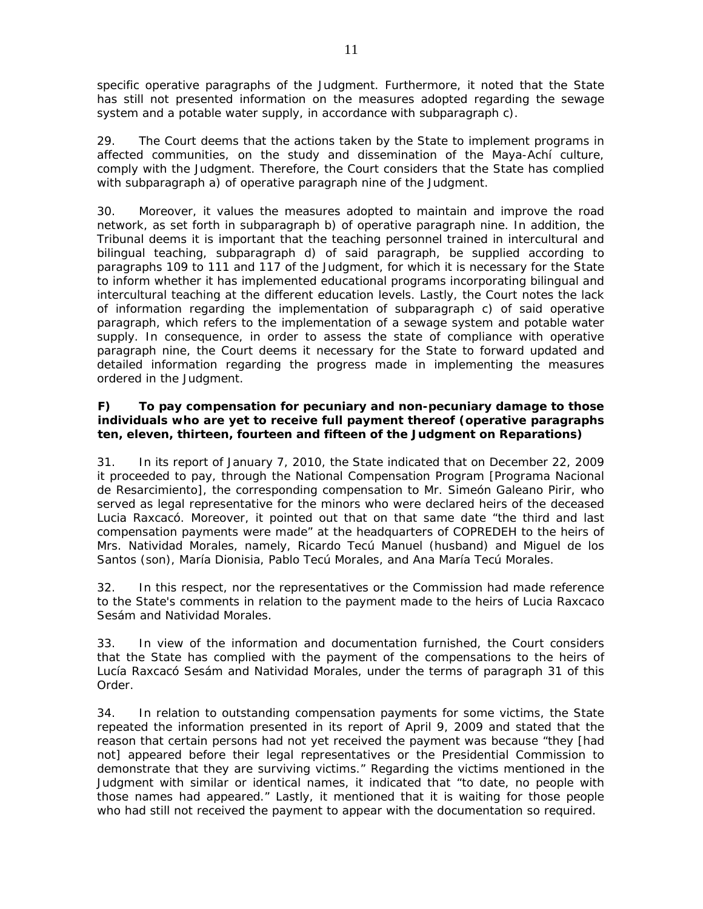specific operative paragraphs of the Judgment. Furthermore, it noted that the State has still not presented information on the measures adopted regarding the sewage system and a potable water supply, in accordance with subparagraph c).

29. The Court deems that the actions taken by the State to implement programs in affected communities, on the study and dissemination of the Maya-Achí culture, comply with the Judgment. Therefore, the Court considers that the State has complied with subparagraph a) of operative paragraph nine of the Judgment.

30. Moreover, it values the measures adopted to maintain and improve the road network, as set forth in subparagraph b) of operative paragraph nine. In addition, the Tribunal deems it is important that the teaching personnel trained in intercultural and bilingual teaching, subparagraph d) of said paragraph, be supplied according to paragraphs 109 to 111 and 117 of the Judgment, for which it is necessary for the State to inform whether it has implemented educational programs incorporating bilingual and intercultural teaching at the different education levels. Lastly, the Court notes the lack of information regarding the implementation of subparagraph c) of said operative paragraph, which refers to the implementation of a sewage system and potable water supply. In consequence, in order to assess the state of compliance with operative paragraph nine, the Court deems it necessary for the State to forward updated and detailed information regarding the progress made in implementing the measures ordered in the Judgment.

# *F) To pay compensation for pecuniary and non-pecuniary damage to those individuals who are yet to receive full payment thereof (operative paragraphs ten, eleven, thirteen, fourteen and fifteen of the Judgment on Reparations)*

31. In its report of January 7, 2010, the State indicated that on December 22, 2009 it proceeded to pay, through the National Compensation Program [Programa Nacional de Resarcimiento], the corresponding compensation to Mr. Simeón Galeano Pirir, who served as legal representative for the minors who were declared heirs of the deceased Lucia Raxcacó. Moreover, it pointed out that on that same date "the third and last compensation payments were made" at the headquarters of COPREDEH to the heirs of Mrs. Natividad Morales, namely, Ricardo Tecú Manuel (husband) and Miguel de los Santos (son), María Dionisia, Pablo Tecú Morales, and Ana María Tecú Morales.

32. In this respect, nor the representatives or the Commission had made reference to the State's comments in relation to the payment made to the heirs of Lucia Raxcaco Sesám and Natividad Morales.

33. In view of the information and documentation furnished, the Court considers that the State has complied with the payment of the compensations to the heirs of Lucía Raxcacó Sesám and Natividad Morales, under the terms of paragraph 31 of this Order.

34. In relation to outstanding compensation payments for some victims, the State repeated the information presented in its report of April 9, 2009 and stated that the reason that certain persons had not yet received the payment was because "they [had not] appeared before their legal representatives or the Presidential Commission to demonstrate that they are surviving victims." Regarding the victims mentioned in the Judgment with similar or identical names, it indicated that "to date, no people with those names had appeared." Lastly, it mentioned that it is waiting for those people who had still not received the payment to appear with the documentation so required.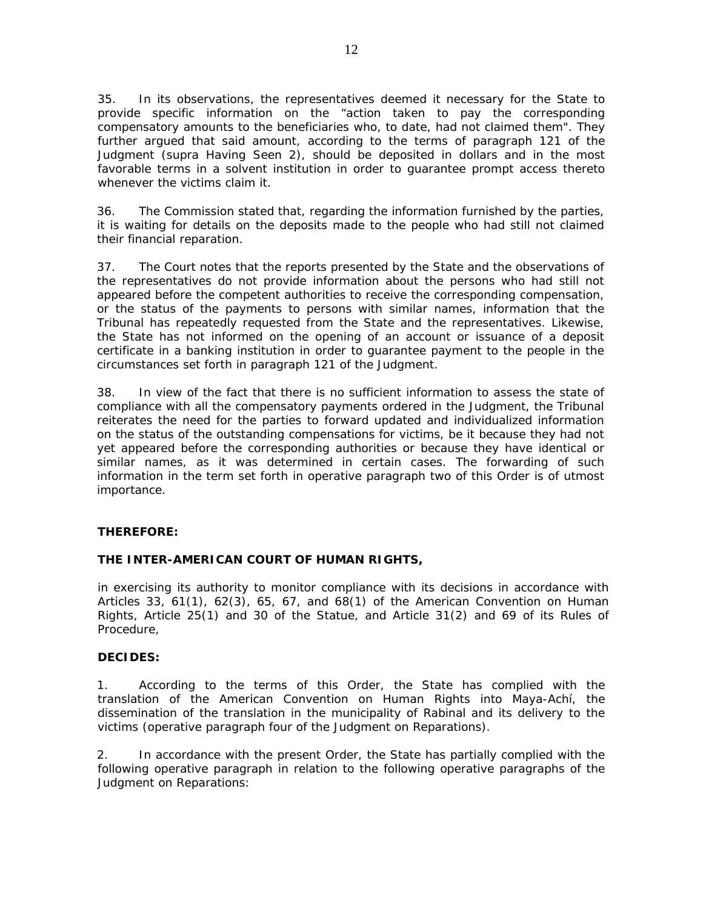35. In its observations, the representatives deemed it necessary for the State to provide specific information on the "action taken to pay the corresponding compensatory amounts to the beneficiaries who, to date, had not claimed them". They further argued that said amount, according to the terms of paragraph 121 of the Judgment (*supra* Having Seen 2), should be deposited in dollars and in the most favorable terms in a solvent institution in order to guarantee prompt access thereto whenever the victims claim it.

36. The Commission stated that, regarding the information furnished by the parties, it is waiting for details on the deposits made to the people who had still not claimed their financial reparation.

37. The Court notes that the reports presented by the State and the observations of the representatives do not provide information about the persons who had still not appeared before the competent authorities to receive the corresponding compensation, or the status of the payments to persons with similar names, information that the Tribunal has repeatedly requested from the State and the representatives. Likewise, the State has not informed on the opening of an account or issuance of a deposit certificate in a banking institution in order to guarantee payment to the people in the circumstances set forth in paragraph 121 of the Judgment.

38. In view of the fact that there is no sufficient information to assess the state of compliance with all the compensatory payments ordered in the Judgment, the Tribunal reiterates the need for the parties to forward updated and individualized information on the status of the outstanding compensations for victims, be it because they had not yet appeared before the corresponding authorities or because they have identical or similar names, as it was determined in certain cases. The forwarding of such information in the term set forth in operative paragraph two of this Order is of utmost importance.

# **THEREFORE:**

#### **THE INTER-AMERICAN COURT OF HUMAN RIGHTS,**

in exercising its authority to monitor compliance with its decisions in accordance with Articles 33, 61(1), 62(3), 65, 67, and 68(1) of the American Convention on Human Rights, Article 25(1) and 30 of the Statue, and Article 31(2) and 69 of its Rules of Procedure,

#### **DECIDES:**

1. According to the terms of this Order, the State has complied with the translation of the American Convention on Human Rights into Maya-Achí, the dissemination of the translation in the municipality of Rabinal and its delivery to the victims (*operative paragraph four of the Judgment on Reparations)*.

2. In accordance with the present Order, the State has partially complied with the following operative paragraph in relation to the following operative paragraphs of the Judgment on Reparations: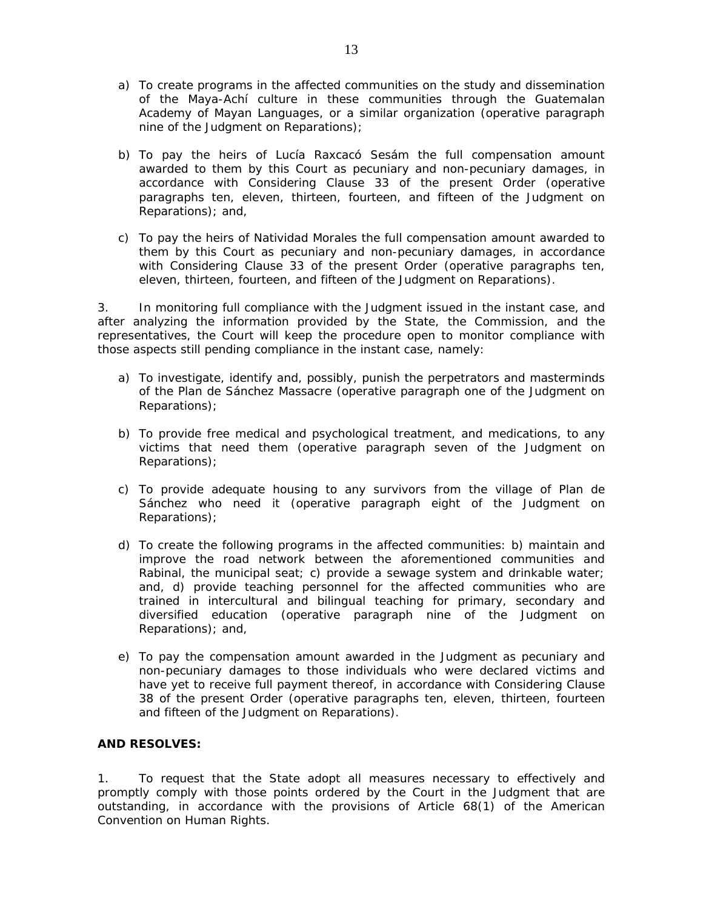- a) To create programs in the affected communities on the study and dissemination of the Maya-Achí culture in these communities through the Guatemalan Academy of Mayan Languages, or a similar organization (*operative paragraph nine of the Judgment on Reparations*);
- b) To pay the heirs of Lucía Raxcacó Sesám the full compensation amount awarded to them by this Court as pecuniary and non-pecuniary damages, in accordance with Considering Clause 33 of the present Order (*operative paragraphs ten, eleven, thirteen, fourteen, and fifteen of the Judgment on Reparations)*; and,
- c) To pay the heirs of Natividad Morales the full compensation amount awarded to them by this Court as pecuniary and non-pecuniary damages, in accordance with Considering Clause 33 of the present Order (*operative paragraphs ten, eleven, thirteen, fourteen, and fifteen of the Judgment on Reparations).*

3. In monitoring full compliance with the Judgment issued in the instant case, and after analyzing the information provided by the State, the Commission, and the representatives, the Court will keep the procedure open to monitor compliance with those aspects still pending compliance in the instant case, namely:

- a) To investigate, identify and, possibly, punish the perpetrators and masterminds of the Plan de Sánchez Massacre (*operative paragraph one of the Judgment on Reparations*);
- b) To provide free medical and psychological treatment, and medications, to any victims that need them (*operative paragraph seven of the Judgment on Reparations*);
- c) To provide adequate housing to any survivors from the village of Plan de Sánchez who need it (*operative paragraph eight of the Judgment on Reparations*);
- d) To create the following programs in the affected communities: b) maintain and improve the road network between the aforementioned communities and Rabinal, the municipal seat; c) provide a sewage system and drinkable water; and, d) provide teaching personnel for the affected communities who are trained in intercultural and bilingual teaching for primary, secondary and diversified education (*operative paragraph nine of the Judgment on Reparations*); and,
- e) To pay the compensation amount awarded in the Judgment as pecuniary and non-pecuniary damages to those individuals who were declared victims and have yet to receive full payment thereof, in accordance with Considering Clause 38 of the present Order (*operative paragraphs ten, eleven, thirteen, fourteen and fifteen of the Judgment on Reparations*).

# **AND RESOLVES:**

1. To request that the State adopt all measures necessary to effectively and promptly comply with those points ordered by the Court in the Judgment that are outstanding, in accordance with the provisions of Article 68(1) of the American Convention on Human Rights.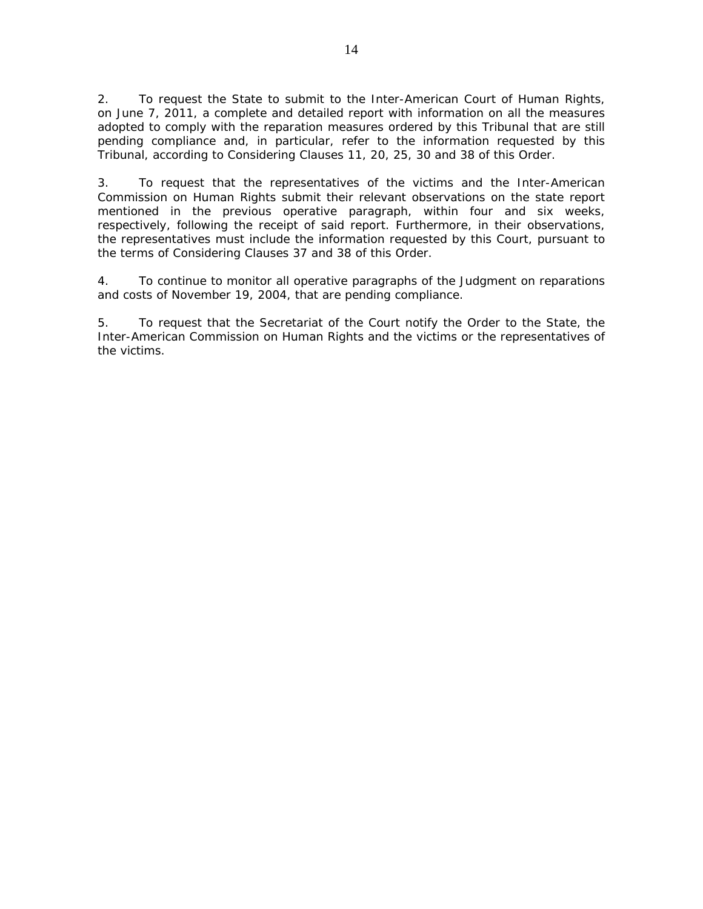2. To request the State to submit to the Inter-American Court of Human Rights, on June 7, 2011, a complete and detailed report with information on all the measures adopted to comply with the reparation measures ordered by this Tribunal that are still pending compliance and, in particular, refer to the information requested by this Tribunal, according to Considering Clauses 11, 20, 25, 30 and 38 of this Order.

3. To request that the representatives of the victims and the Inter-American Commission on Human Rights submit their relevant observations on the state report mentioned in the previous operative paragraph, within four and six weeks, respectively, following the receipt of said report. Furthermore, in their observations, the representatives must include the information requested by this Court, pursuant to the terms of Considering Clauses 37 and 38 of this Order.

4. To continue to monitor all operative paragraphs of the Judgment on reparations and costs of November 19, 2004, that are pending compliance.

5. To request that the Secretariat of the Court notify the Order to the State, the Inter-American Commission on Human Rights and the victims or the representatives of the victims.